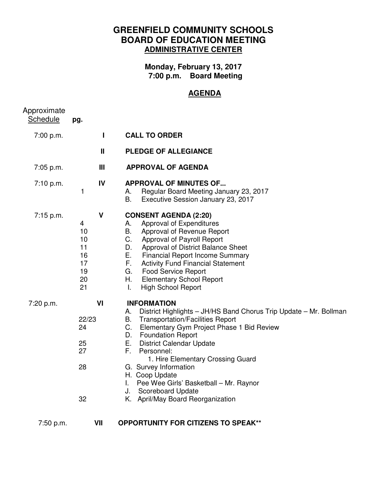## **GREENFIELD COMMUNITY SCHOOLS BOARD OF EDUCATION MEETING ADMINISTRATIVE CENTER**

**Monday, February 13, 2017 7:00 p.m. Board Meeting** 

## **AGENDA**

| Approximate<br><b>Schedule</b> | pg.                                                               |                                                                                                                                                                                                                                                                                                                                                                                                                                                                        |
|--------------------------------|-------------------------------------------------------------------|------------------------------------------------------------------------------------------------------------------------------------------------------------------------------------------------------------------------------------------------------------------------------------------------------------------------------------------------------------------------------------------------------------------------------------------------------------------------|
| 7:00 p.m.                      | $\mathbf{I}$                                                      | <b>CALL TO ORDER</b>                                                                                                                                                                                                                                                                                                                                                                                                                                                   |
|                                | $\mathbf{I}$                                                      | <b>PLEDGE OF ALLEGIANCE</b>                                                                                                                                                                                                                                                                                                                                                                                                                                            |
| 7:05 p.m.                      | Ш                                                                 | <b>APPROVAL OF AGENDA</b>                                                                                                                                                                                                                                                                                                                                                                                                                                              |
| 7:10 p.m.                      | IV<br>1                                                           | <b>APPROVAL OF MINUTES OF</b><br>Regular Board Meeting January 23, 2017<br>А.<br>В.<br>Executive Session January 23, 2017                                                                                                                                                                                                                                                                                                                                              |
| 7:15 p.m.                      | $\mathsf{V}$<br>4<br>10<br>10<br>11<br>16<br>17<br>19<br>20<br>21 | <b>CONSENT AGENDA (2:20)</b><br>Approval of Expenditures<br>А.<br>Approval of Revenue Report<br>B.<br>C.<br>Approval of Payroll Report<br>D.<br>Approval of District Balance Sheet<br>E.,<br><b>Financial Report Income Summary</b><br><b>Activity Fund Financial Statement</b><br>F.,<br><b>Food Service Report</b><br>G.<br>Η.<br><b>Elementary School Report</b><br>$\mathbf{L}$<br><b>High School Report</b>                                                       |
| 7:20 p.m.                      | VI<br>22/23<br>24<br>25<br>27<br>28<br>32                         | <b>INFORMATION</b><br>District Highlights - JH/HS Band Chorus Trip Update - Mr. Bollman<br>А.<br><b>Transportation/Facilities Report</b><br>B.<br>C. Elementary Gym Project Phase 1 Bid Review<br>D. Foundation Report<br>E. District Calendar Update<br>F.<br>Personnel:<br>1. Hire Elementary Crossing Guard<br>G. Survey Information<br>H. Coop Update<br>Pee Wee Girls' Basketball - Mr. Raynor<br>I.<br>J. Scoreboard Update<br>K. April/May Board Reorganization |
| 7:50 p.m.                      | VII                                                               | <b>OPPORTUNITY FOR CITIZENS TO SPEAK**</b>                                                                                                                                                                                                                                                                                                                                                                                                                             |